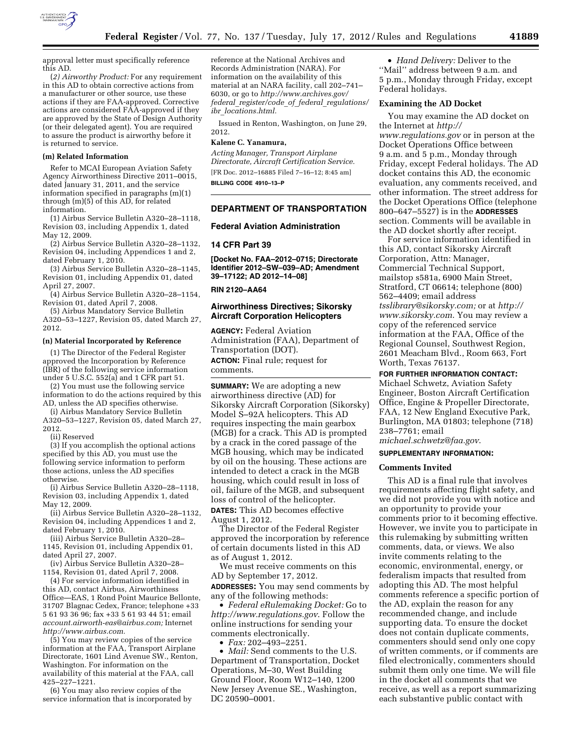

approval letter must specifically reference this AD.

(*2) Airworthy Product:* For any requirement in this AD to obtain corrective actions from a manufacturer or other source, use these actions if they are FAA-approved. Corrective actions are considered FAA-approved if they are approved by the State of Design Authority (or their delegated agent). You are required to assure the product is airworthy before it is returned to service.

### **(m) Related Information**

Refer to MCAI European Aviation Safety Agency Airworthiness Directive 2011–0015, dated January 31, 2011, and the service information specified in paragraphs (m)(1) through (m)(5) of this AD, for related information.

(1) Airbus Service Bulletin A320–28–1118, Revision 03, including Appendix 1, dated May 12, 2009.

(2) Airbus Service Bulletin A320–28–1132, Revision 04, including Appendices 1 and 2, dated February 1, 2010.

(3) Airbus Service Bulletin A320–28–1145, Revision 01, including Appendix 01, dated April 27, 2007.

(4) Airbus Service Bulletin A320–28–1154, Revision 01, dated April 7, 2008.

(5) Airbus Mandatory Service Bulletin A320–53–1227, Revision 05, dated March 27, 2012.

#### **(n) Material Incorporated by Reference**

(1) The Director of the Federal Register approved the Incorporation by Reference (IBR) of the following service information under 5 U.S.C. 552(a) and 1 CFR part 51.

(2) You must use the following service information to do the actions required by this AD, unless the AD specifies otherwise.

(i) Airbus Mandatory Service Bulletin A320–53–1227, Revision 05, dated March 27, 2012.

(ii) Reserved

(3) If you accomplish the optional actions specified by this AD, you must use the following service information to perform those actions, unless the AD specifies otherwise.

(i) Airbus Service Bulletin A320–28–1118, Revision 03, including Appendix 1, dated May 12, 2009.

(ii) Airbus Service Bulletin A320–28–1132, Revision 04, including Appendices 1 and 2, dated February 1, 2010.

(iii) Airbus Service Bulletin A320–28– 1145, Revision 01, including Appendix 01, dated April 27, 2007.

(iv) Airbus Service Bulletin A320–28– 1154, Revision 01, dated April 7, 2008.

(4) For service information identified in this AD, contact Airbus, Airworthiness Office—EAS, 1 Rond Point Maurice Bellonte, 31707 Blagnac Cedex, France; telephone +33 5 61 93 36 96; fax +33 5 61 93 44 51; email *[account.airworth-eas@airbus.com;](mailto:account.airworth-eas@airbus.com)* Internet *[http://www.airbus.com.](http://www.airbus.com)* 

(5) You may review copies of the service information at the FAA, Transport Airplane Directorate, 1601 Lind Avenue SW., Renton, Washington. For information on the availability of this material at the FAA, call 425–227–1221.

(6) You may also review copies of the service information that is incorporated by

reference at the National Archives and Records Administration (NARA). For information on the availability of this material at an NARA facility, call 202–741– 6030, or go to *[http://www.archives.gov/](http://www.archives.gov/federal_register/code_of_federal_regulations/ibr_locations.html)  federal*\_*[register/code](http://www.archives.gov/federal_register/code_of_federal_regulations/ibr_locations.html)*\_*of*\_*federal*\_*regulations/ ibr*\_*[locations.html.](http://www.archives.gov/federal_register/code_of_federal_regulations/ibr_locations.html)* 

Issued in Renton, Washington, on June 29, 2012.

# **Kalene C. Yanamura,**

*Acting Manager, Transport Airplane Directorate, Aircraft Certification Service.*  [FR Doc. 2012–16885 Filed 7–16–12; 8:45 am]

**BILLING CODE 4910–13–P** 

# **DEPARTMENT OF TRANSPORTATION**

# **Federal Aviation Administration**

#### **14 CFR Part 39**

**[Docket No. FAA–2012–0715; Directorate Identifier 2012–SW–039–AD; Amendment 39–17122; AD 2012–14–08]** 

#### **RIN 2120–AA64**

# **Airworthiness Directives; Sikorsky Aircraft Corporation Helicopters**

**AGENCY:** Federal Aviation Administration (FAA), Department of Transportation (DOT). **ACTION:** Final rule; request for comments.

**SUMMARY:** We are adopting a new airworthiness directive (AD) for Sikorsky Aircraft Corporation (Sikorsky) Model S–92A helicopters. This AD requires inspecting the main gearbox (MGB) for a crack. This AD is prompted by a crack in the cored passage of the MGB housing, which may be indicated by oil on the housing. These actions are intended to detect a crack in the MGB housing, which could result in loss of oil, failure of the MGB, and subsequent loss of control of the helicopter.

**DATES:** This AD becomes effective August 1, 2012.

The Director of the Federal Register approved the incorporation by reference of certain documents listed in this AD as of August 1, 2012.

We must receive comments on this AD by September 17, 2012.

**ADDRESSES:** You may send comments by any of the following methods:

• *Federal eRulemaking Docket:* Go to *<http://www.regulations.gov>*. Follow the online instructions for sending your comments electronically.

• *Fax:* 202–493–2251.

• *Mail:* Send comments to the U.S. Department of Transportation, Docket Operations, M–30, West Building Ground Floor, Room W12–140, 1200 New Jersey Avenue SE., Washington, DC 20590–0001.

• *Hand Delivery:* Deliver to the ''Mail'' address between 9 a.m. and 5 p.m., Monday through Friday, except Federal holidays.

# **Examining the AD Docket**

You may examine the AD docket on the Internet at *[http://](http://www.regulations.gov)  [www.regulations.gov](http://www.regulations.gov)* or in person at the Docket Operations Office between 9 a.m. and 5 p.m., Monday through Friday, except Federal holidays. The AD docket contains this AD, the economic evaluation, any comments received, and other information. The street address for the Docket Operations Office (telephone 800–647–5527) is in the **ADDRESSES** section. Comments will be available in the AD docket shortly after receipt.

For service information identified in this AD, contact Sikorsky Aircraft Corporation, Attn: Manager, Commercial Technical Support, mailstop s581a, 6900 Main Street, Stratford, CT 06614; telephone (800) 562–4409; email address *[tsslibrary@sikorsky.com;](mailto:tsslibrary@sikorsky.com)* or at *[http://](http://www.sikorsky.com) [www.sikorsky.com](http://www.sikorsky.com)*. You may review a copy of the referenced service information at the FAA, Office of the Regional Counsel, Southwest Region, 2601 Meacham Blvd., Room 663, Fort Worth, Texas 76137.

#### **FOR FURTHER INFORMATION CONTACT:**

Michael Schwetz, Aviation Safety Engineer, Boston Aircraft Certification Office, Engine & Propeller Directorate, FAA, 12 New England Executive Park, Burlington, MA 01803; telephone (718) 238–7761; email

*[michael.schwetz@faa.gov](mailto:michael.schwetz@faa.gov)*.

# **SUPPLEMENTARY INFORMATION:**

### **Comments Invited**

This AD is a final rule that involves requirements affecting flight safety, and we did not provide you with notice and an opportunity to provide your comments prior to it becoming effective. However, we invite you to participate in this rulemaking by submitting written comments, data, or views. We also invite comments relating to the economic, environmental, energy, or federalism impacts that resulted from adopting this AD. The most helpful comments reference a specific portion of the AD, explain the reason for any recommended change, and include supporting data. To ensure the docket does not contain duplicate comments, commenters should send only one copy of written comments, or if comments are filed electronically, commenters should submit them only one time. We will file in the docket all comments that we receive, as well as a report summarizing each substantive public contact with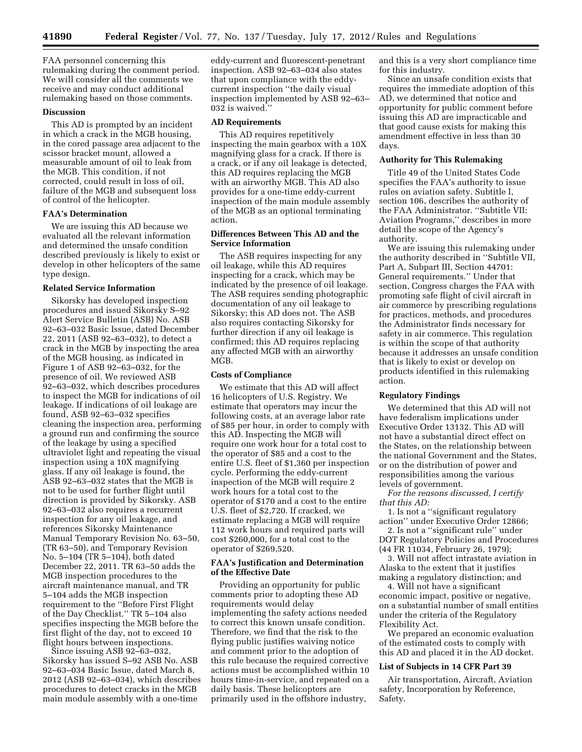FAA personnel concerning this rulemaking during the comment period. We will consider all the comments we receive and may conduct additional rulemaking based on those comments.

# **Discussion**

This AD is prompted by an incident in which a crack in the MGB housing, in the cored passage area adjacent to the scissor bracket mount, allowed a measurable amount of oil to leak from the MGB. This condition, if not corrected, could result in loss of oil, failure of the MGB and subsequent loss of control of the helicopter.

#### **FAA's Determination**

We are issuing this AD because we evaluated all the relevant information and determined the unsafe condition described previously is likely to exist or develop in other helicopters of the same type design.

### **Related Service Information**

Sikorsky has developed inspection procedures and issued Sikorsky S–92 Alert Service Bulletin (ASB) No. ASB 92–63–032 Basic Issue, dated December 22, 2011 (ASB 92–63–032), to detect a crack in the MGB by inspecting the area of the MGB housing, as indicated in Figure 1 of ASB 92–63–032, for the presence of oil. We reviewed ASB 92–63–032, which describes procedures to inspect the MGB for indications of oil leakage. If indications of oil leakage are found, ASB 92–63–032 specifies cleaning the inspection area, performing a ground run and confirming the source of the leakage by using a specified ultraviolet light and repeating the visual inspection using a 10X magnifying glass. If any oil leakage is found, the ASB 92–63–032 states that the MGB is not to be used for further flight until direction is provided by Sikorsky. ASB 92–63–032 also requires a recurrent inspection for any oil leakage, and references Sikorsky Maintenance Manual Temporary Revision No. 63–50, (TR 63–50), and Temporary Revision No. 5–104 (TR 5–104), both dated December 22, 2011. TR 63–50 adds the MGB inspection procedures to the aircraft maintenance manual, and TR 5–104 adds the MGB inspection requirement to the ''Before First Flight of the Day Checklist.'' TR 5–104 also specifies inspecting the MGB before the first flight of the day, not to exceed 10 flight hours between inspections.

Since issuing ASB 92–63–032, Sikorsky has issued S–92 ASB No. ASB 92–63–034 Basic Issue, dated March 8, 2012 (ASB 92–63–034), which describes procedures to detect cracks in the MGB main module assembly with a one-time

eddy-current and fluorescent-penetrant inspection. ASB 92–63–034 also states that upon compliance with the eddycurrent inspection ''the daily visual inspection implemented by ASB 92–63– 032 is waived.''

#### **AD Requirements**

This AD requires repetitively inspecting the main gearbox with a 10X magnifying glass for a crack. If there is a crack, or if any oil leakage is detected, this AD requires replacing the MGB with an airworthy MGB. This AD also provides for a one-time eddy-current inspection of the main module assembly of the MGB as an optional terminating action.

# **Differences Between This AD and the Service Information**

The ASB requires inspecting for any oil leakage, while this AD requires inspecting for a crack, which may be indicated by the presence of oil leakage. The ASB requires sending photographic documentation of any oil leakage to Sikorsky; this AD does not. The ASB also requires contacting Sikorsky for further direction if any oil leakage is confirmed; this AD requires replacing any affected MGB with an airworthy MGB.

### **Costs of Compliance**

We estimate that this AD will affect 16 helicopters of U.S. Registry. We estimate that operators may incur the following costs, at an average labor rate of \$85 per hour, in order to comply with this AD. Inspecting the MGB will require one work hour for a total cost to the operator of \$85 and a cost to the entire U.S. fleet of \$1,360 per inspection cycle. Performing the eddy-current inspection of the MGB will require 2 work hours for a total cost to the operator of \$170 and a cost to the entire U.S. fleet of \$2,720. If cracked, we estimate replacing a MGB will require 112 work hours and required parts will cost \$260,000, for a total cost to the operator of \$269,520.

# **FAA's Justification and Determination of the Effective Date**

Providing an opportunity for public comments prior to adopting these AD requirements would delay implementing the safety actions needed to correct this known unsafe condition. Therefore, we find that the risk to the flying public justifies waiving notice and comment prior to the adoption of this rule because the required corrective actions must be accomplished within 10 hours time-in-service, and repeated on a daily basis. These helicopters are primarily used in the offshore industry,

and this is a very short compliance time for this industry.

Since an unsafe condition exists that requires the immediate adoption of this AD, we determined that notice and opportunity for public comment before issuing this AD are impracticable and that good cause exists for making this amendment effective in less than 30 days.

# **Authority for This Rulemaking**

Title 49 of the United States Code specifies the FAA's authority to issue rules on aviation safety. Subtitle I, section 106, describes the authority of the FAA Administrator. ''Subtitle VII: Aviation Programs,'' describes in more detail the scope of the Agency's authority.

We are issuing this rulemaking under the authority described in ''Subtitle VII, Part A, Subpart III, Section 44701: General requirements.'' Under that section, Congress charges the FAA with promoting safe flight of civil aircraft in air commerce by prescribing regulations for practices, methods, and procedures the Administrator finds necessary for safety in air commerce. This regulation is within the scope of that authority because it addresses an unsafe condition that is likely to exist or develop on products identified in this rulemaking action.

### **Regulatory Findings**

We determined that this AD will not have federalism implications under Executive Order 13132. This AD will not have a substantial direct effect on the States, on the relationship between the national Government and the States, or on the distribution of power and responsibilities among the various levels of government.

*For the reasons discussed, I certify that this AD:* 

1. Is not a ''significant regulatory action'' under Executive Order 12866;

2. Is not a ''significant rule'' under DOT Regulatory Policies and Procedures (44 FR 11034, February 26, 1979);

3. Will not affect intrastate aviation in Alaska to the extent that it justifies making a regulatory distinction; and

4. Will not have a significant economic impact, positive or negative, on a substantial number of small entities under the criteria of the Regulatory Flexibility Act.

We prepared an economic evaluation of the estimated costs to comply with this AD and placed it in the AD docket.

### **List of Subjects in 14 CFR Part 39**

Air transportation, Aircraft, Aviation safety, Incorporation by Reference, Safety.